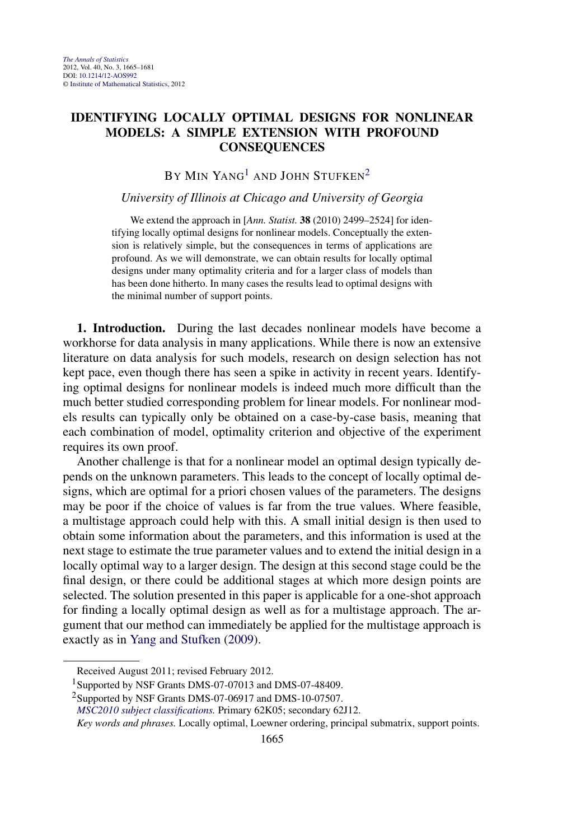## **IDENTIFYING LOCALLY OPTIMAL DESIGNS FOR NONLINEAR MODELS: A SIMPLE EXTENSION WITH PROFOUND CONSEQUENCES**

# BY MIN YANG<sup>1</sup> AND JOHN STUFKEN<sup>2</sup>

## *University of Illinois at Chicago and University of Georgia*

We extend the approach in [*Ann. Statist.* **38** (2010) 2499–2524] for identifying locally optimal designs for nonlinear models. Conceptually the extension is relatively simple, but the consequences in terms of applications are profound. As we will demonstrate, we can obtain results for locally optimal designs under many optimality criteria and for a larger class of models than has been done hitherto. In many cases the results lead to optimal designs with the minimal number of support points.

**1. Introduction.** During the last decades nonlinear models have become a workhorse for data analysis in many applications. While there is now an extensive literature on data analysis for such models, research on design selection has not kept pace, even though there has seen a spike in activity in recent years. Identifying optimal designs for nonlinear models is indeed much more difficult than the much better studied corresponding problem for linear models. For nonlinear models results can typically only be obtained on a case-by-case basis, meaning that each combination of model, optimality criterion and objective of the experiment requires its own proof.

Another challenge is that for a nonlinear model an optimal design typically depends on the unknown parameters. This leads to the concept of locally optimal designs, which are optimal for a priori chosen values of the parameters. The designs may be poor if the choice of values is far from the true values. Where feasible, a multistage approach could help with this. A small initial design is then used to obtain some information about the parameters, and this information is used at the next stage to estimate the true parameter values and to extend the initial design in a locally optimal way to a larger design. The design at this second stage could be the final design, or there could be additional stages at which more design points are selected. The solution presented in this paper is applicable for a one-shot approach for finding a locally optimal design as well as for a multistage approach. The argument that our method can immediately be applied for the multistage approach is exactly as in [Yang and Stufken](#page-16-0) [\(2009\)](#page-16-0).

Received August 2011; revised February 2012.

<sup>&</sup>lt;sup>1</sup>Supported by NSF Grants DMS-07-07013 and DMS-07-48409.

<sup>&</sup>lt;sup>2</sup>Supported by NSF Grants DMS-07-06917 and DMS-10-07507.

*[MSC2010 subject classifications.](http://www.ams.org/mathscinet/msc/msc2010.html)* Primary 62K05; secondary 62J12.

*Key words and phrases.* Locally optimal, Loewner ordering, principal submatrix, support points.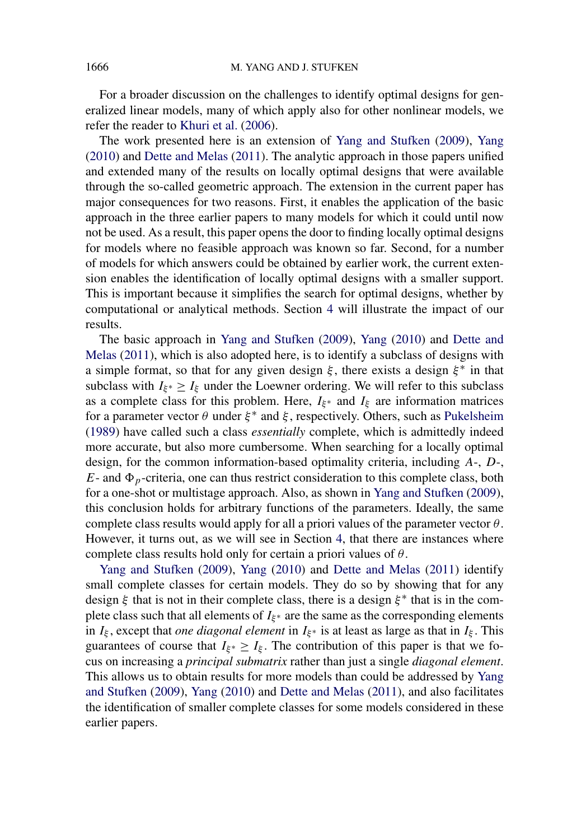For a broader discussion on the challenges to identify optimal designs for generalized linear models, many of which apply also for other nonlinear models, we refer the reader to [Khuri et al.](#page-16-0) [\(2006\)](#page-16-0).

The work presented here is an extension of [Yang and Stufken](#page-16-0) [\(2009\)](#page-16-0), [Yang](#page-16-0) [\(2010\)](#page-16-0) and [Dette and Melas](#page-16-0) [\(2011\)](#page-16-0). The analytic approach in those papers unified and extended many of the results on locally optimal designs that were available through the so-called geometric approach. The extension in the current paper has major consequences for two reasons. First, it enables the application of the basic approach in the three earlier papers to many models for which it could until now not be used. As a result, this paper opens the door to finding locally optimal designs for models where no feasible approach was known so far. Second, for a number of models for which answers could be obtained by earlier work, the current extension enables the identification of locally optimal designs with a smaller support. This is important because it simplifies the search for optimal designs, whether by computational or analytical methods. Section [4](#page-7-0) will illustrate the impact of our results.

The basic approach in [Yang and Stufken](#page-16-0) [\(2009\)](#page-16-0), [Yang](#page-16-0) [\(2010\)](#page-16-0) and [Dette and](#page-16-0) [Melas](#page-16-0) [\(2011\)](#page-16-0), which is also adopted here, is to identify a subclass of designs with a simple format, so that for any given design  $\xi$ , there exists a design  $\xi^*$  in that subclass with  $I_{\xi^*} \geq I_{\xi}$  under the Loewner ordering. We will refer to this subclass as a complete class for this problem. Here,  $I_{\xi^*}$  and  $I_{\xi}$  are information matrices for a parameter vector  $\theta$  under  $\xi^*$  and  $\xi$ , respectively. Others, such as [Pukelsheim](#page-16-0) [\(1989\)](#page-16-0) have called such a class *essentially* complete, which is admittedly indeed more accurate, but also more cumbersome. When searching for a locally optimal design, for the common information-based optimality criteria, including *A*-, *D*-,  $E$ - and  $\Phi_p$ -criteria, one can thus restrict consideration to this complete class, both for a one-shot or multistage approach. Also, as shown in [Yang and Stufken](#page-16-0) [\(2009\)](#page-16-0), this conclusion holds for arbitrary functions of the parameters. Ideally, the same complete class results would apply for all a priori values of the parameter vector *θ*. However, it turns out, as we will see in Section [4,](#page-7-0) that there are instances where complete class results hold only for certain a priori values of *θ*.

[Yang and Stufken](#page-16-0) [\(2009\)](#page-16-0), [Yang](#page-16-0) [\(2010\)](#page-16-0) and [Dette and Melas](#page-16-0) [\(2011\)](#page-16-0) identify small complete classes for certain models. They do so by showing that for any design  $\xi$  that is not in their complete class, there is a design  $\xi^*$  that is in the complete class such that all elements of  $I_{\xi^*}$  are the same as the corresponding elements in  $I_{\xi}$ , except that *one diagonal element* in  $I_{\xi^*}$  is at least as large as that in  $I_{\xi}$ . This guarantees of course that  $I_{\xi^*} \geq I_{\xi}$ . The contribution of this paper is that we focus on increasing a *principal submatrix* rather than just a single *diagonal element*. This allows us to obtain results for more models than could be addressed by [Yang](#page-16-0) [and Stufken](#page-16-0) [\(2009\)](#page-16-0), [Yang](#page-16-0) [\(2010\)](#page-16-0) and [Dette and Melas](#page-16-0) [\(2011\)](#page-16-0), and also facilitates the identification of smaller complete classes for some models considered in these earlier papers.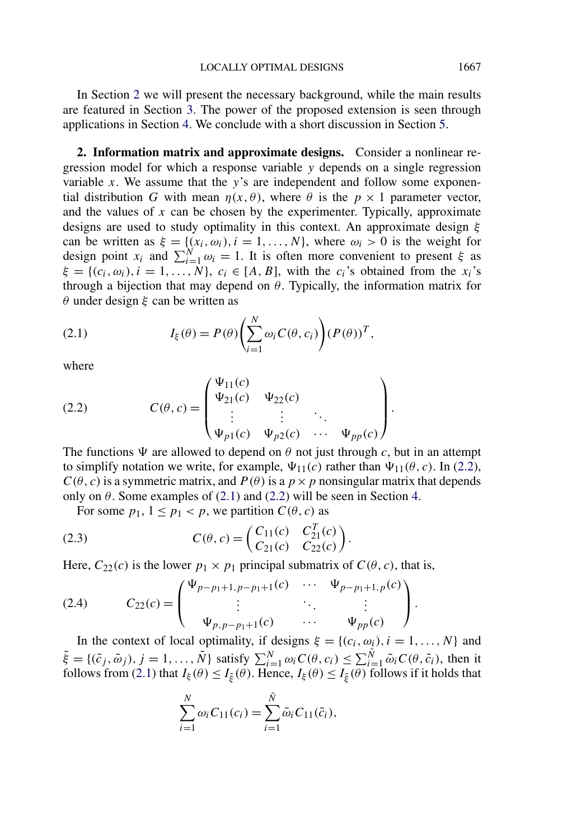<span id="page-2-0"></span>In Section 2 we will present the necessary background, while the main results are featured in Section [3.](#page-3-0) The power of the proposed extension is seen through applications in Section [4.](#page-7-0) We conclude with a short discussion in Section [5.](#page-11-0)

**2. Information matrix and approximate designs.** Consider a nonlinear regression model for which a response variable *y* depends on a single regression variable *x*. We assume that the *y*'s are independent and follow some exponential distribution *G* with mean  $\eta(x, \theta)$ , where  $\theta$  is the  $p \times 1$  parameter vector, and the values of  $x$  can be chosen by the experimenter. Typically, approximate designs are used to study optimality in this context. An approximate design *ξ* can be written as  $\xi = \{(x_i, \omega_i), i = 1, ..., N\}$ , where  $\omega_i > 0$  is the weight for design point  $x_i$  and  $\sum_{i=1}^{N} \omega_i = 1$ . It is often more convenient to present *ξ* as  $\xi = \{(c_i, \omega_i), i = 1, \ldots, N\}, c_i \in [A, B]$ , with the *c<sub>i</sub>*'s obtained from the *x<sub>i</sub>*'s through a bijection that may depend on  $\theta$ . Typically, the information matrix for *θ* under design *ξ* can be written as

(2.1) 
$$
I_{\xi}(\theta) = P(\theta) \left( \sum_{i=1}^{N} \omega_i C(\theta, c_i) \right) (P(\theta))^T,
$$

where

(2.2) 
$$
C(\theta, c) = \begin{pmatrix} \Psi_{11}(c) & \Psi_{22}(c) \\ \Psi_{21}(c) & \Psi_{22}(c) \\ \vdots & \vdots & \ddots \\ \Psi_{p1}(c) & \Psi_{p2}(c) & \cdots & \Psi_{pp}(c) \end{pmatrix}.
$$

The functions  $\Psi$  are allowed to depend on  $\theta$  not just through c, but in an attempt to simplify notation we write, for example,  $\Psi_{11}(c)$  rather than  $\Psi_{11}(\theta, c)$ . In (2.2),  $C(\theta, c)$  is a symmetric matrix, and  $P(\theta)$  is a  $p \times p$  nonsingular matrix that depends only on  $\theta$ . Some examples of (2.1) and (2.2) will be seen in Section [4.](#page-7-0)

For some  $p_1$ ,  $1 \leq p_1 < p$ , we partition  $C(\theta, c)$  as

(2.3) 
$$
C(\theta, c) = \begin{pmatrix} C_{11}(c) & C_{21}^T(c) \\ C_{21}(c) & C_{22}(c) \end{pmatrix}.
$$

Here,  $C_{22}(c)$  is the lower  $p_1 \times p_1$  principal submatrix of  $C(\theta, c)$ , that is,

(2.4) 
$$
C_{22}(c) = \begin{pmatrix} \Psi_{p-p_1+1,p-p_1+1}(c) & \cdots & \Psi_{p-p_1+1,p}(c) \\ \vdots & \ddots & \vdots \\ \Psi_{p,p-p_1+1}(c) & \cdots & \Psi_{pp}(c) \end{pmatrix}.
$$

In the context of local optimality, if designs  $\xi = \{(c_i, \omega_i), i = 1, ..., N\}$  and  $\tilde{\xi} = \{(\tilde{c}_j, \tilde{\omega}_j), j = 1, \ldots, \tilde{N}\}\$  satisfy  $\sum_{i=1}^N \omega_i C(\theta, c_i) \leq \sum_{i=1}^{\tilde{N}} \tilde{\omega}_i C(\theta, \tilde{c}_i)$ , then it follows from (2.1) that  $I_{\xi}(\theta) \leq I_{\tilde{\xi}}(\theta)$ . Hence,  $I_{\xi}(\theta) \leq I_{\tilde{\xi}}(\theta)$  follows if it holds that

$$
\sum_{i=1}^{N} \omega_i C_{11}(c_i) = \sum_{i=1}^{\tilde{N}} \tilde{\omega}_i C_{11}(\tilde{c}_i),
$$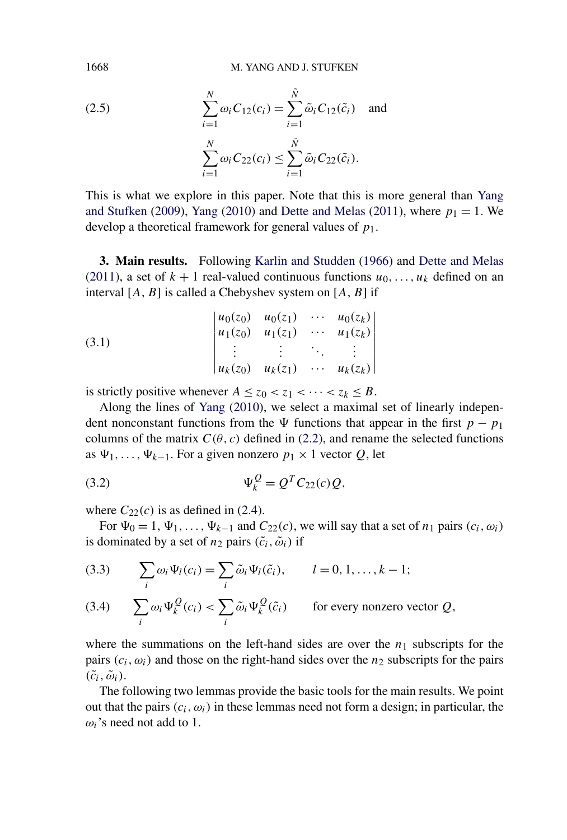(2.5) 
$$
\sum_{i=1}^{N} \omega_i C_{12}(c_i) = \sum_{i=1}^{\tilde{N}} \tilde{\omega}_i C_{12}(\tilde{c}_i) \text{ and}
$$

$$
\sum_{i=1}^{N} \omega_i C_{22}(c_i) \le \sum_{i=1}^{\tilde{N}} \tilde{\omega}_i C_{22}(\tilde{c}_i).
$$

This is what we explore in this paper. Note that this is more general than [Yang](#page-16-0) [and Stufken](#page-16-0) [\(2009\)](#page-16-0), [Yang](#page-16-0) [\(2010\)](#page-16-0) and [Dette and Melas](#page-16-0) [\(2011\)](#page-16-0), where  $p_1 = 1$ . We develop a theoretical framework for general values of *p*1.

**3. Main results.** Following [Karlin and Studden](#page-16-0) [\(1966\)](#page-16-0) and [Dette and Melas](#page-16-0) [\(2011\)](#page-16-0), a set of  $k + 1$  real-valued continuous functions  $u_0, \ldots, u_k$  defined on an interval [*A,B*] is called a Chebyshev system on [*A,B*] if

(3.1) 
$$
\begin{vmatrix} u_0(z_0) & u_0(z_1) & \cdots & u_0(z_k) \\ u_1(z_0) & u_1(z_1) & \cdots & u_1(z_k) \\ \vdots & \vdots & \ddots & \vdots \\ u_k(z_0) & u_k(z_1) & \cdots & u_k(z_k) \end{vmatrix}
$$

is strictly positive whenever  $A \le z_0 < z_1 < \cdots < z_k \le B$ .

Along the lines of [Yang](#page-16-0) [\(2010\)](#page-16-0), we select a maximal set of linearly independent nonconstant functions from the  $\Psi$  functions that appear in the first *p* − *p*<sub>1</sub> columns of the matrix  $C(\theta, c)$  defined in [\(2.2\)](#page-2-0), and rename the selected functions as  $\Psi_1, \ldots, \Psi_{k-1}$ . For a given nonzero  $p_1 \times 1$  vector *Q*, let

(3.2) 
$$
\Psi_k^Q = Q^T C_{22}(c) Q,
$$

where  $C_{22}(c)$  is as defined in [\(2.4\)](#page-2-0).

For  $\Psi_0 = 1, \Psi_1, \ldots, \Psi_{k-1}$  and  $C_{22}(c)$ , we will say that a set of  $n_1$  pairs  $(c_i, \omega_i)$ is dominated by a set of  $n_2$  pairs  $(\tilde{c}_i, \tilde{\omega}_i)$  if

(3.3) 
$$
\sum_{i} \omega_i \Psi_l(c_i) = \sum_{i} \tilde{\omega}_i \Psi_l(\tilde{c}_i), \qquad l = 0, 1, ..., k - 1;
$$

(3.4) 
$$
\sum_{i} \omega_i \Psi_k^Q(c_i) < \sum_{i} \tilde{\omega}_i \Psi_k^Q(\tilde{c}_i) \qquad \text{for every nonzero vector } Q,
$$

where the summations on the left-hand sides are over the  $n_1$  subscripts for the pairs  $(c_i, \omega_i)$  and those on the right-hand sides over the *n*<sub>2</sub> subscripts for the pairs  $(\tilde{c}_i, \tilde{\omega}_i)$ .

The following two lemmas provide the basic tools for the main results. We point out that the pairs  $(c_i, \omega_i)$  in these lemmas need not form a design; in particular, the  $\omega_i$ 's need not add to 1.

<span id="page-3-0"></span>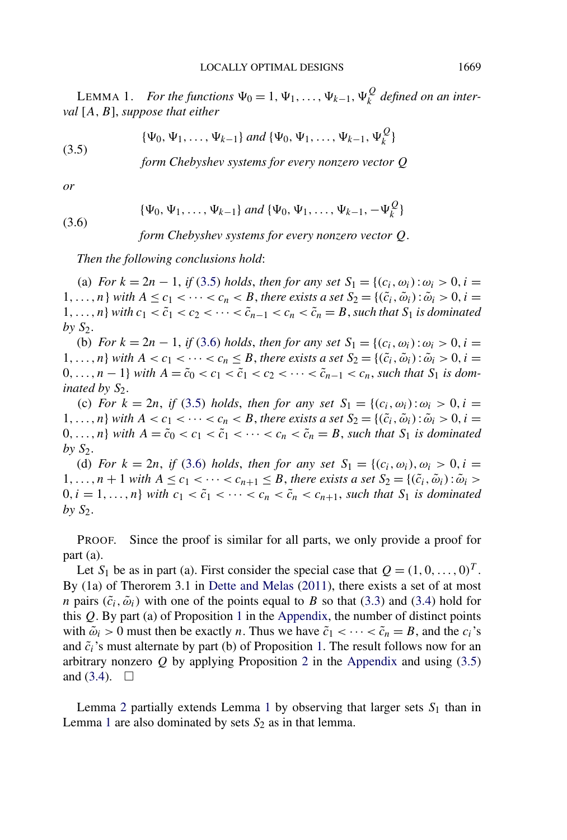<span id="page-4-0"></span>LEMMA 1. *For the functions*  $\Psi_0 = 1, \Psi_1, \ldots, \Psi_{k-1}, \Psi_k^Q$  *defined on an interval* [*A,B*], *suppose that either*

(3.5) 
$$
\{\Psi_0, \Psi_1, \dots, \Psi_{k-1}\} \text{ and } \{\Psi_0, \Psi_1, \dots, \Psi_{k-1}, \Psi_k^Q\}
$$

*form Chebyshev systems for every nonzero vector Q*

*or*

(3.6) 
$$
\{\Psi_0, \Psi_1, \ldots, \Psi_{k-1}\} \text{ and } \{\Psi_0, \Psi_1, \ldots, \Psi_{k-1}, -\Psi_k^Q\}
$$

*form Chebyshev systems for every nonzero vector Q.*

*Then the following conclusions hold*:

(a) *For*  $k = 2n - 1$ , *if* (3.5) *holds*, *then for any set*  $S_1 = \{(c_i, \omega_i) : \omega_i > 0, i = 1\}$ 1,...,n} *with*  $A \leq c_1 < \cdots < c_n < B$ , there exists a set  $S_2 = \{(\tilde{c}_i, \tilde{\omega}_i) : \tilde{\omega}_i > 0, i =$ 1,...,n, *with*  $c_1 < \tilde{c}_1 < c_2 < \cdots < \tilde{c}_{n-1} < c_n < \tilde{c}_n = B$ , such that  $S_1$  is dominated  $by S_2$ .

(b) *For*  $k = 2n - 1$ , *if* (3.6) *holds*, *then for any set*  $S_1 = \{(c_i, \omega_i) : \omega_i > 0, i = 1\}$ 1,...,n} with  $A < c_1 < \cdots < c_n \leq B$ , there exists a set  $S_2 = \{(\tilde{c}_i, \tilde{\omega}_i) : \tilde{\omega}_i > 0, i =$  $0, \ldots, n-1$  *with*  $A = \tilde{c}_0 < c_1 < \tilde{c}_1 < c_2 < \cdots < \tilde{c}_{n-1} < c_n$ , such that  $S_1$  *is dominated by*  $S_2$ *.* 

(c) *For*  $k = 2n$ , *if* (3.5) *holds*, *then for any set*  $S_1 = \{(c_i, \omega_i) : \omega_i > 0, i = 1\}$ 1,...,n} with  $A < c_1 < \cdots < c_n < B$ , there exists a set  $S_2 = \{(\tilde{c}_i, \tilde{\omega}_i) : \tilde{\omega}_i > 0, i =$ 0,...,n, *with*  $A = \tilde{c}_0 < c_1 < \tilde{c}_1 < \cdots < c_n < \tilde{c}_n = B$ , such that  $S_1$  is dominated by  $S_2$ .

(d) *For*  $k = 2n$ , *if* (3.6) *holds*, *then for any set*  $S_1 = \{(c_i, \omega_i), \omega_i > 0, i = 1\}$ 1,...,  $n + 1$  *with*  $A \leq c_1 < \cdots < c_{n+1} \leq B$ , *there exists a set*  $S_2 = \{(\tilde{c}_i, \tilde{\omega}_i) : \tilde{\omega}_i > a_i\}$  $0, i = 1, \ldots, n$  *with*  $c_1 < \tilde{c}_1 < \cdots < c_n < \tilde{c}_n < c_{n+1}$ , such that  $S_1$  *is dominated by S*2.

PROOF. Since the proof is similar for all parts, we only provide a proof for part (a).

Let *S*<sub>1</sub> be as in part (a). First consider the special case that  $Q = (1, 0, \ldots, 0)^T$ . By (1a) of Therorem 3.1 in [Dette and Melas](#page-16-0) [\(2011\)](#page-16-0), there exists a set of at most *n* pairs  $(\tilde{c}_i, \tilde{\omega}_i)$  with one of the points equal to *B* so that [\(3.3\)](#page-3-0) and [\(3.4\)](#page-3-0) hold for this *Q*. By part (a) of Proposition [1](#page-12-0) in the [Appendix,](#page-12-0) the number of distinct points with  $\tilde{\omega}_i > 0$  must then be exactly *n*. Thus we have  $\tilde{c}_1 < \cdots < \tilde{c}_n = B$ , and the  $c_i$ 's and  $\tilde{c}_i$ 's must alternate by part (b) of Proposition [1.](#page-12-0) The result follows now for an arbitrary nonzero *Q* by applying Proposition [2](#page-13-0) in the [Appendix](#page-12-0) and using (3.5) and  $(3.4)$ .  $\Box$ 

Lemma [2](#page-5-0) partially extends Lemma 1 by observing that larger sets  $S_1$  than in Lemma 1 are also dominated by sets  $S_2$  as in that lemma.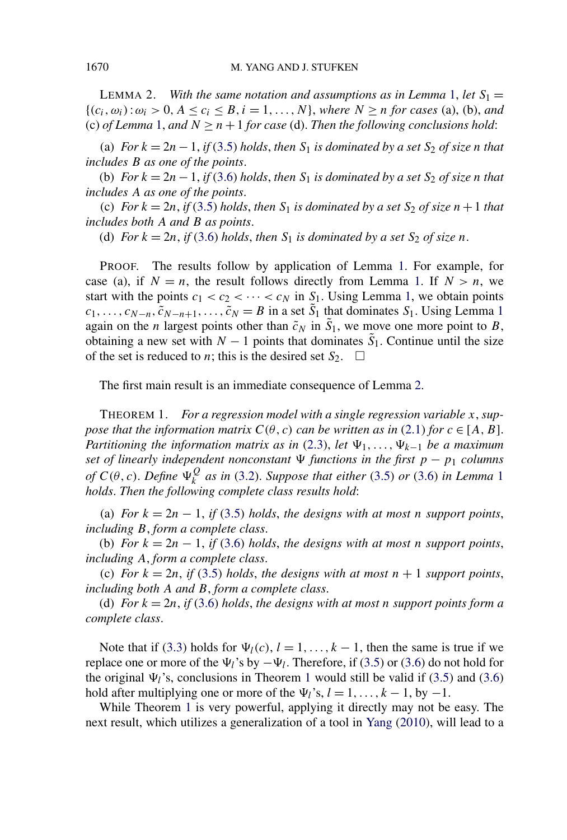<span id="page-5-0"></span>LEMMA 2. *With the same notation and assumptions as in Lemma [1,](#page-4-0) let*  $S_1 =$  ${(c_i, \omega_i): \omega_i > 0, A \leq c_i \leq B, i = 1, \ldots, N}$ , where  $N \geq n$  for cases (a), (b), and (c) *of Lemma* [1,](#page-4-0) *and*  $N \ge n + 1$  *for case* (d). *Then the following conclusions hold:* 

(a) *For*  $k = 2n - 1$ , *if* [\(3.5\)](#page-4-0) *holds*, *then*  $S_1$  *is dominated by a set*  $S_2$  *of size n that includes B as one of the points*.

(b) *For*  $k = 2n - 1$ , *if* [\(3.6\)](#page-4-0) *holds*, *then*  $S_1$  *is dominated by a set*  $S_2$  *of size n that includes A as one of the points*.

(c) *For*  $k = 2n$ , *if* [\(3.5\)](#page-4-0) *holds*, *then*  $S_1$  *is dominated by a set*  $S_2$  *of size*  $n + 1$  *that includes both A and B as points*.

(d) *For*  $k = 2n$ , *if* [\(3.6\)](#page-4-0) *holds*, *then*  $S_1$  *is dominated by a set*  $S_2$  *of size n*.

PROOF. The results follow by application of Lemma [1.](#page-4-0) For example, for case (a), if  $N = n$ , the result follows directly from Lemma [1.](#page-4-0) If  $N > n$ , we start with the points  $c_1 < c_2 < \cdots < c_N$  in  $S_1$ . Using Lemma [1,](#page-4-0) we obtain points  $c_1, \ldots, c_{N-n}, \tilde{c}_{N-n+1}, \ldots, \tilde{c}_N = B$  $c_1, \ldots, c_{N-n}, \tilde{c}_{N-n+1}, \ldots, \tilde{c}_N = B$  $c_1, \ldots, c_{N-n}, \tilde{c}_{N-n+1}, \ldots, \tilde{c}_N = B$  in a set  $\tilde{S}_1$  that dominates  $S_1$ . Using Lemma 1 again on the *n* largest points other than  $\tilde{c}_N$  in  $\tilde{S}_1$ , we move one more point to *B*, obtaining a new set with  $N-1$  points that dominates  $\tilde{S}_1$ . Continue until the size of the set is reduced to *n*; this is the desired set  $S_2$ .  $\Box$ 

The first main result is an immediate consequence of Lemma 2.

THEOREM 1. *For a regression model with a single regression variable x*, *suppose that the information matrix*  $C(\theta, c)$  *can be written as in* [\(2.1\)](#page-2-0) *for*  $c \in [A, B]$ . *Partitioning the information matrix as in* [\(2.3\)](#page-2-0), *let*  $\Psi_1, \ldots, \Psi_{k-1}$  *be a maximum set of linearly independent nonconstant*  $\Psi$  *functions in the first*  $p - p_1$  *columns of*  $C(\theta, c)$ . *Define*  $\Psi_k^Q$  *as in* [\(3.2\)](#page-3-0). *Suppose that either* [\(3.5\)](#page-4-0) *or* [\(3.6\)](#page-4-0) *in Lemma* [1](#page-4-0) *holds*. *Then the following complete class results hold*:

(a) *For*  $k = 2n - 1$ , *if* [\(3.5\)](#page-4-0) *holds*, *the designs with at most n support points*, *including B*, *form a complete class*.

(b) *For*  $k = 2n - 1$ , *if* [\(3.6\)](#page-4-0) *holds*, *the designs with at most <i>n support points*, *including A*, *form a complete class*.

(c) *For*  $k = 2n$ , *if* [\(3.5\)](#page-4-0) *holds*, *the designs with at most*  $n + 1$  *support points*, *including both A and B*, *form a complete class*.

(d) *For*  $k = 2n$ , *if* [\(3.6\)](#page-4-0) *holds*, *the designs with at most n support points form a complete class*.

Note that if [\(3.3\)](#page-3-0) holds for  $\Psi_l(c)$ ,  $l = 1, ..., k-1$ , then the same is true if we replace one or more of the  $\Psi_l$ 's by  $-\Psi_l$ . Therefore, if [\(3.5\)](#page-4-0) or [\(3.6\)](#page-4-0) do not hold for the original  $\Psi_l$ 's, conclusions in Theorem 1 would still be valid if [\(3.5\)](#page-4-0) and [\(3.6\)](#page-4-0) hold after multiplying one or more of the  $\Psi_l$ 's,  $l = 1, \ldots, k - 1$ , by −1.

While Theorem 1 is very powerful, applying it directly may not be easy. The next result, which utilizes a generalization of a tool in [Yang](#page-16-0) [\(2010\)](#page-16-0), will lead to a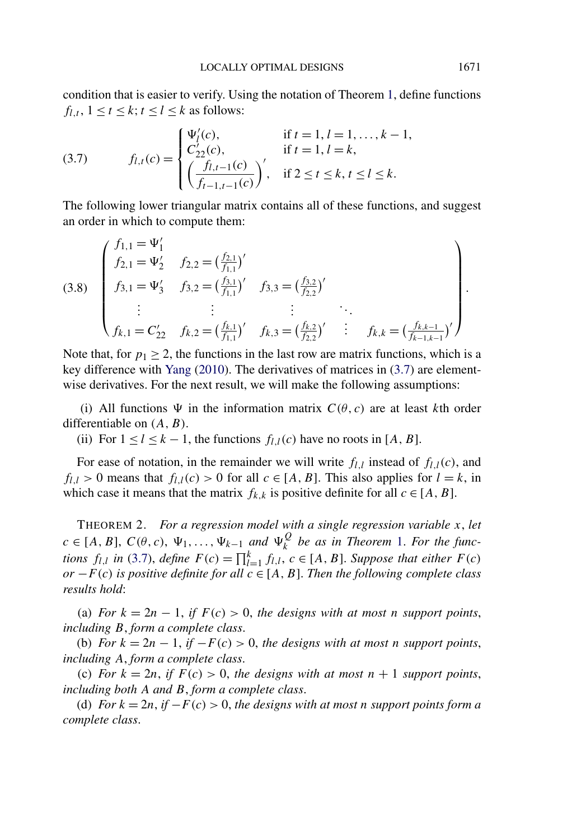<span id="page-6-0"></span>condition that is easier to verify. Using the notation of Theorem [1,](#page-5-0) define functions  $f_{l,t}$ ,  $1 \le t \le k$ ;  $t \le l \le k$  as follows:

(3.7) 
$$
f_{l,t}(c) = \begin{cases} \Psi'_l(c), & \text{if } t = 1, l = 1, ..., k - 1, \\ C'_{22}(c), & \text{if } t = 1, l = k, \\ \left(\frac{f_{l,t-1}(c)}{f_{t-1,t-1}(c)}\right)', & \text{if } 2 \le t \le k, t \le l \le k. \end{cases}
$$

The following lower triangular matrix contains all of these functions, and suggest an order in which to compute them:

(3.8) 
$$
\begin{pmatrix} f_{1,1} = \Psi_1' \\ f_{2,1} = \Psi_2' & f_{2,2} = \left(\frac{f_{2,1}}{f_{1,1}}\right)' \\ f_{3,1} = \Psi_3' & f_{3,2} = \left(\frac{f_{3,1}}{f_{1,1}}\right)' & f_{3,3} = \left(\frac{f_{3,2}}{f_{2,2}}\right)' \\ \vdots & \vdots & \vdots & \ddots \\ f_{k,1} = C_{22}' & f_{k,2} = \left(\frac{f_{k,1}}{f_{1,1}}\right)' & f_{k,3} = \left(\frac{f_{k,2}}{f_{2,2}}\right)' & \vdots & f_{k,k} = \left(\frac{f_{k,k-1}}{f_{k-1,k-1}}\right)' \end{pmatrix}.
$$

Note that, for  $p_1 \geq 2$ , the functions in the last row are matrix functions, which is a key difference with [Yang](#page-16-0) [\(2010\)](#page-16-0). The derivatives of matrices in (3.7) are elementwise derivatives. For the next result, we will make the following assumptions:

(i) All functions  $\Psi$  in the information matrix  $C(\theta, c)$  are at least *k*th order differentiable on *(A, B)*.

(ii) For  $1 \leq l \leq k-1$ , the functions  $f_{l,l}(c)$  have no roots in [A, B].

For ease of notation, in the remainder we will write  $f_{l,l}$  instead of  $f_{l,l}(c)$ , and  $f_{l,l}$  > 0 means that  $f_{l,l}(c)$  > 0 for all  $c \in [A, B]$ . This also applies for  $l = k$ , in which case it means that the matrix  $f_{k,k}$  is positive definite for all  $c \in [A, B]$ .

THEOREM 2. *For a regression model with a single regression variable x*, *let*  $c \in [A, B]$ ,  $C(\theta, c)$ ,  $\Psi_1, \ldots, \Psi_{k-1}$  *and*  $\Psi_k^Q$  *be as in Theorem* [1.](#page-5-0) *For the functions*  $f_{l,l}$  *in* (3.7), *define*  $F(c) = \prod_{l=1}^{k} f_{l,l}$ ,  $c \in [A, B]$ . *Suppose that either*  $F(c)$ *or* −*F (c) is positive definite for all c* ∈ [*A,B*]. *Then the following complete class results hold*:

(a) *For*  $k = 2n - 1$ , *if*  $F(c) > 0$ , the designs with at most *n* support points, *including B*, *form a complete class*.

(b) *For*  $k = 2n - 1$ , *if*  $-F(c) > 0$ , *the designs with at most n support points*, *including A*, *form a complete class*.

(c) *For*  $k = 2n$ , *if*  $F(c) > 0$ , *the designs with at most*  $n + 1$  *support points*, *including both A and B*, *form a complete class*.

(d) *For*  $k = 2n$ , *if*  $-F(c) > 0$ , the designs with at most *n* support points form a *complete class*.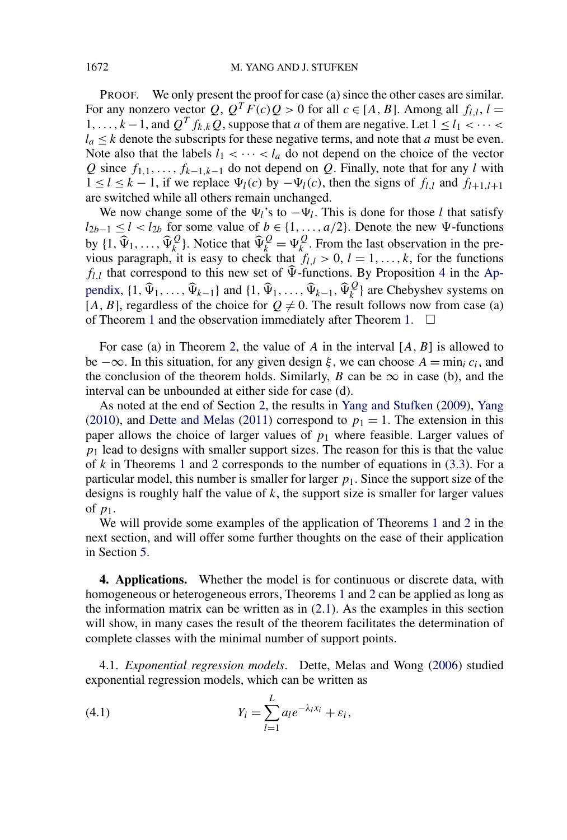<span id="page-7-0"></span>PROOF. We only present the proof for case (a) since the other cases are similar. For any nonzero vector Q,  $Q^T F(c)Q > 0$  for all  $c \in [A, B]$ . Among all  $f_{l,l}$ ,  $l =$ 1,...,  $k-1$ , and  $Q^T f_{k,k}Q$ , suppose that *a* of them are negative. Let  $1 \leq l_1 < \cdots < l_k$  $l_a \leq k$  denote the subscripts for these negative terms, and note that *a* must be even. Note also that the labels  $l_1 < \cdots < l_a$  do not depend on the choice of the vector *Q* since *f*1*,*1*,...,fk*<sup>−</sup>1*,k*−<sup>1</sup> do not depend on *Q*. Finally, note that for any *l* with  $1 \le l \le k - 1$ , if we replace  $\Psi_l(c)$  by  $-\Psi_l(c)$ , then the signs of  $f_{l,l}$  and  $f_{l+1,l+1}$ are switched while all others remain unchanged.

We now change some of the  $\Psi_l$ 's to  $-\Psi_l$ . This is done for those *l* that satisfy *l*<sub>2*b*−1</sub> ≤ *l* < *l*<sub>2*b*</sub> for some value of *b* ∈ {1, ..., *a*/2}. Denote the new  $\Psi$ -functions by  $\{1, \hat{\Psi}_1, \ldots, \hat{\Psi}_k^Q\}$ . Notice that  $\hat{\Psi}_k^Q = \Psi_k^Q$ . From the last observation in the previous paragraph, it is easy to check that  $f_{l,l} > 0$ ,  $l = 1, ..., k$ , for the functions  $f_{l,l}$  that correspond to this new set of  $\hat{\Psi}$ -functions. By Proposition [4](#page-14-0) in the [Ap](#page-12-0)[pendix,](#page-12-0)  $\{\mathbf{1}, \hat{\Psi}_1, \dots, \hat{\Psi}_{k-1}\}$  and  $\{\mathbf{1}, \hat{\Psi}_1, \dots, \hat{\Psi}_{k-1}, \hat{\Psi}_k^Q\}$  are Chebyshev systems on [*A*, *B*], regardless of the choice for  $Q \neq 0$ . The result follows now from case (a) of Theorem [1](#page-5-0) and the observation immediately after Theorem [1.](#page-5-0)  $\Box$ 

For case (a) in Theorem [2,](#page-6-0) the value of *A* in the interval [*A,B*] is allowed to be  $-\infty$ . In this situation, for any given design  $\xi$ , we can choose  $A = \min_i c_i$ , and the conclusion of the theorem holds. Similarly, *B* can be  $\infty$  in case (b), and the interval can be unbounded at either side for case (d).

As noted at the end of Section [2,](#page-2-0) the results in [Yang and Stufken](#page-16-0) [\(2009\)](#page-16-0), [Yang](#page-16-0) [\(2010\)](#page-16-0), and [Dette and Melas](#page-16-0) [\(2011\)](#page-16-0) correspond to  $p_1 = 1$ . The extension in this paper allows the choice of larger values of  $p_1$  where feasible. Larger values of  $p_1$  lead to designs with smaller support sizes. The reason for this is that the value of *k* in Theorems [1](#page-5-0) and [2](#page-6-0) corresponds to the number of equations in [\(3.3\)](#page-3-0). For a particular model, this number is smaller for larger  $p_1$ . Since the support size of the designs is roughly half the value of *k*, the support size is smaller for larger values of *p*1.

We will provide some examples of the application of Theorems [1](#page-5-0) and [2](#page-6-0) in the next section, and will offer some further thoughts on the ease of their application in Section [5.](#page-11-0)

**4. Applications.** Whether the model is for continuous or discrete data, with homogeneous or heterogeneous errors, Theorems [1](#page-5-0) and [2](#page-6-0) can be applied as long as the information matrix can be written as in  $(2.1)$ . As the examples in this section will show, in many cases the result of the theorem facilitates the determination of complete classes with the minimal number of support points.

4.1. *Exponential regression models*. Dette, Melas and Wong [\(2006\)](#page-16-0) studied exponential regression models, which can be written as

(4.1) 
$$
Y_i = \sum_{l=1}^L a_l e^{-\lambda_l x_i} + \varepsilon_i,
$$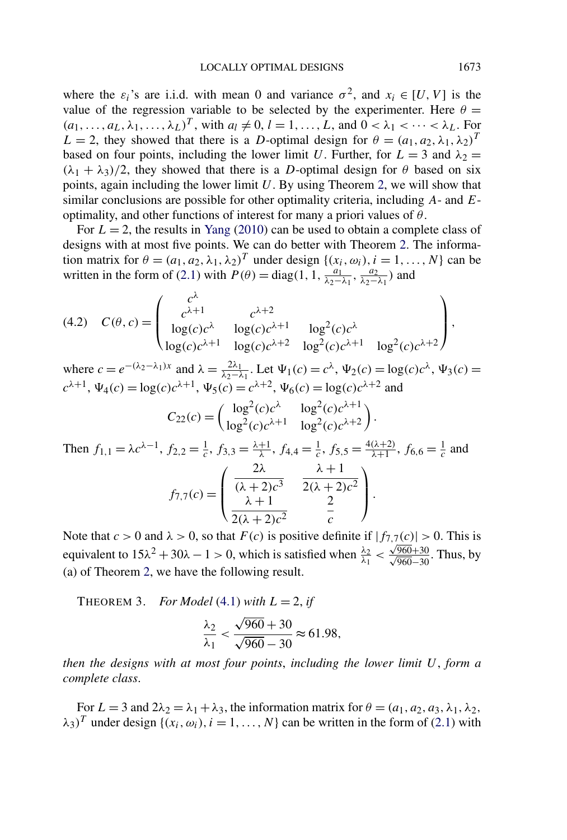where the  $\varepsilon_i$ 's are i.i.d. with mean 0 and variance  $\sigma^2$ , and  $x_i \in [U, V]$  is the value of the regression variable to be selected by the experimenter. Here  $\theta =$  $(a_1, \ldots, a_L, \lambda_1, \ldots, \lambda_L)^T$ , with  $a_l \neq 0, l = 1, \ldots, L$ , and  $0 < \lambda_1 < \cdots < \lambda_L$ . For *L* = 2, they showed that there is a *D*-optimal design for  $θ = (a_1, a_2, \lambda_1, \lambda_2)^T$ based on four points, including the lower limit *U*. Further, for  $L = 3$  and  $\lambda_2 =$  $(\lambda_1 + \lambda_3)/2$ , they showed that there is a *D*-optimal design for  $\theta$  based on six points, again including the lower limit *U*. By using Theorem [2,](#page-6-0) we will show that similar conclusions are possible for other optimality criteria, including *A*- and *E*optimality, and other functions of interest for many a priori values of *θ*.

For  $L = 2$ , the results in [Yang](#page-16-0) [\(2010\)](#page-16-0) can be used to obtain a complete class of designs with at most five points. We can do better with Theorem [2.](#page-6-0) The information matrix for  $\theta = (a_1, a_2, \lambda_1, \lambda_2)^T$  under design  $\{(x_i, \omega_i), i = 1, ..., N\}$  can be written in the form of [\(2.1\)](#page-2-0) with  $P(\theta) = \text{diag}(1, 1, \frac{a_1}{\lambda_2 - \lambda_1}, \frac{a_2}{\lambda_2 - \lambda_1})$  and

(4.2) 
$$
C(\theta, c) = \begin{pmatrix} c^{\lambda} & c^{\lambda+2} \\ c^{\lambda+1} & c^{\lambda+2} \\ \log(c)c^{\lambda} & \log(c)c^{\lambda+1} & \log^2(c)c^{\lambda} \\ \log(c)c^{\lambda+1} & \log(c)c^{\lambda+2} & \log^2(c)c^{\lambda+1} & \log^2(c)c^{\lambda+2} \end{pmatrix},
$$

where  $c = e^{-(\lambda_2 - \lambda_1)x}$  and  $\lambda = \frac{2\lambda_1}{\lambda_2 - \lambda_1}$ . Let  $\Psi_1(c) = c^{\lambda}$ ,  $\Psi_2(c) = \log(c)c^{\lambda}$ ,  $\Psi_3(c) =$  $c^{\lambda+1}$ ,  $\Psi_4(c) = \log(c)c^{\lambda+1}$ ,  $\Psi_5(c) = c^{\lambda+2}$ ,  $\Psi_6(c) = \log(c)c^{\lambda+2}$  and  $\ell$ <sub>1</sub> 2 $\ell$  \ \ \ \ \ 1 2 $\ell$  \ \ \ \ \ +1

$$
C_{22}(c) = \begin{pmatrix} \log^2(c)c^{\lambda} & \log^2(c)c^{\lambda+1} \\ \log^2(c)c^{\lambda+1} & \log^2(c)c^{\lambda+2} \end{pmatrix}.
$$

Then 
$$
f_{1,1} = \lambda c^{\lambda - 1}
$$
,  $f_{2,2} = \frac{1}{c}$ ,  $f_{3,3} = \frac{\lambda + 1}{\lambda}$ ,  $f_{4,4} = \frac{1}{c}$ ,  $f_{5,5} = \frac{4(\lambda + 2)}{\lambda + 1}$ ,  $f_{6,6} = \frac{1}{c}$  and  

$$
f_{7,7}(c) = \begin{pmatrix} \frac{2\lambda}{(\lambda + 2)c^3} & \frac{\lambda + 1}{2(\lambda + 2)c^2} \\ \frac{\lambda + 1}{2(\lambda + 2)c^2} & \frac{2}{c} \end{pmatrix}.
$$

Note that  $c > 0$  and  $\lambda > 0$ , so that  $F(c)$  is positive definite if  $|f_{7,7}(c)| > 0$ . This is equivalent to  $15\lambda^2 + 30\lambda - 1 > 0$ , which is satisfied when  $\frac{\lambda_2}{\lambda_1} < \frac{\sqrt{960} + 30}{\sqrt{960} - 30}$ . Thus, by (a) of Theorem [2,](#page-6-0) we have the following result.

THEOREM 3. *For Model* [\(4.1\)](#page-7-0) *with*  $L = 2$ , *if* 

$$
\frac{\lambda_2}{\lambda_1} < \frac{\sqrt{960} + 30}{\sqrt{960} - 30} \approx 61.98,
$$

*then the designs with at most four points*, *including the lower limit U*, *form a complete class*.

For  $L = 3$  and  $2\lambda_2 = \lambda_1 + \lambda_3$ , the information matrix for  $\theta = (a_1, a_2, a_3, \lambda_1, \lambda_2,$  $\lambda_3$ <sup>T</sup> under design  $\{(x_i, \omega_i), i = 1, ..., N\}$  can be written in the form of [\(2.1\)](#page-2-0) with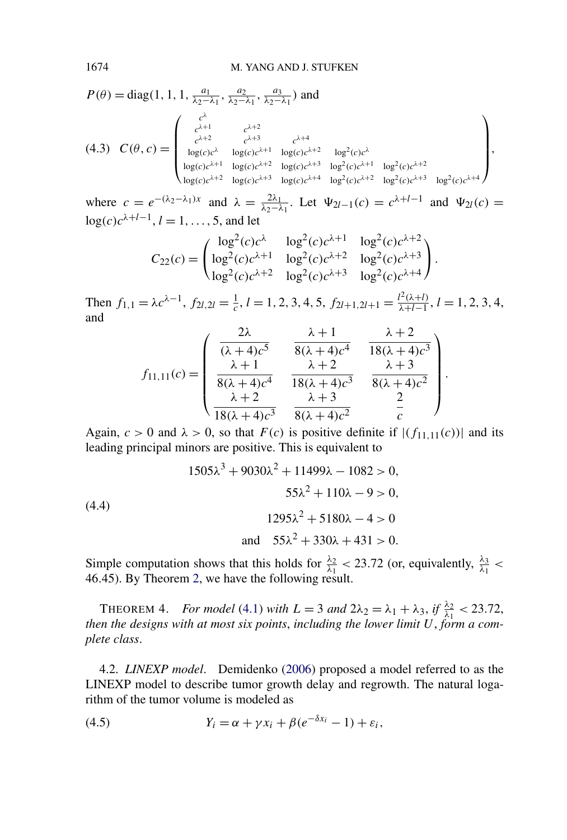$$
P(\theta) = \text{diag}(1, 1, 1, \frac{a_1}{\lambda_2 - \lambda_1}, \frac{a_2}{\lambda_2 - \lambda_1}, \frac{a_3}{\lambda_2 - \lambda_1}) \text{ and}
$$
  
\n
$$
(4.3) \quad C(\theta, c) = \begin{pmatrix} c^{\lambda} & c^{\lambda+2} & c^{\lambda+3} & c^{\lambda+4} \\ c^{\lambda+2} & c^{\lambda+3} & c^{\lambda+4} & \log(c)c^{\lambda+2} & \log^2(c)c^{\lambda} \\ \log(c)c^{\lambda} & \log(c)c^{\lambda+1} & \log(c)c^{\lambda+2} & \log^2(c)c^{\lambda+3} & \log^2(c)c^{\lambda+2} & \log^2(c)c^{\lambda+2} \\ \log(c)c^{\lambda+2} & \log(c)c^{\lambda+3} & \log^2(c)c^{\lambda+4} & \log^2(c)c^{\lambda+3} & \log^2(c)c^{\lambda+4} \end{pmatrix},
$$

where  $c = e^{-(\lambda_2 - \lambda_1)x}$  and  $\lambda = \frac{2\lambda_1}{\lambda_2 - \lambda_1}$ . Let  $\Psi_{2l-1}(c) = c^{\lambda+l-1}$  and  $\Psi_{2l}(c) =$  $\log(c)c^{\lambda+l-1}, l = 1, \ldots, 5$ , and let

$$
C_{22}(c) = \begin{pmatrix} \log^2(c)c^{\lambda} & \log^2(c)c^{\lambda+1} & \log^2(c)c^{\lambda+2} \\ \log^2(c)c^{\lambda+1} & \log^2(c)c^{\lambda+2} & \log^2(c)c^{\lambda+3} \\ \log^2(c)c^{\lambda+2} & \log^2(c)c^{\lambda+3} & \log^2(c)c^{\lambda+4} \end{pmatrix}.
$$

Then  $f_{1,1} = \lambda c^{\lambda - 1}$ ,  $f_{2l,2l} = \frac{1}{c}$ ,  $l = 1, 2, 3, 4, 5$ ,  $f_{2l+1,2l+1} = \frac{l^2(\lambda + l)}{\lambda + l - 1}$ ,  $l = 1, 2, 3, 4$ , and

$$
f_{11,11}(c) = \begin{pmatrix} \frac{2\lambda}{(\lambda+4)c^5} & \frac{\lambda+1}{8(\lambda+4)c^4} & \frac{\lambda+2}{18(\lambda+4)c^3} \\ \frac{\lambda+1}{8(\lambda+4)c^4} & \frac{\lambda+2}{18(\lambda+4)c^3} & \frac{\lambda+3}{8(\lambda+4)c^2} \\ \frac{\lambda+2}{18(\lambda+4)c^3} & \frac{\lambda+3}{8(\lambda+4)c^2} & \frac{2}{c} \end{pmatrix}.
$$

Again,  $c > 0$  and  $\lambda > 0$ , so that  $F(c)$  is positive definite if  $|(f_{11,11}(c))|$  and its leading principal minors are positive. This is equivalent to

$$
1505\lambda^3 + 9030\lambda^2 + 11499\lambda - 1082 > 0,
$$
  

$$
55\lambda^2 + 110\lambda - 9 > 0,
$$
  

$$
1295\lambda^2 + 5180\lambda - 4 > 0
$$
  
and 
$$
55\lambda^2 + 330\lambda + 431 > 0.
$$

Simple computation shows that this holds for  $\frac{\lambda_2}{\lambda_1}$  < 23.72 (or, equivalently,  $\frac{\lambda_3}{\lambda_1}$  < 46*.*45). By Theorem [2,](#page-6-0) we have the following result.

THEOREM 4. *For model* [\(4.1\)](#page-7-0) *with*  $L = 3$  *and*  $2\lambda_2 = \lambda_1 + \lambda_3$ , *if*  $\frac{\lambda_2}{\lambda_1} < 23.72$ , *then the designs with at most six points*, *including the lower limit U*, *form a complete class*.

4.2. *LINEXP model*. Demidenko [\(2006\)](#page-16-0) proposed a model referred to as the LINEXP model to describe tumor growth delay and regrowth. The natural logarithm of the tumor volume is modeled as

(4.5) 
$$
Y_i = \alpha + \gamma x_i + \beta (e^{-\delta x_i} - 1) + \varepsilon_i,
$$

<span id="page-9-0"></span>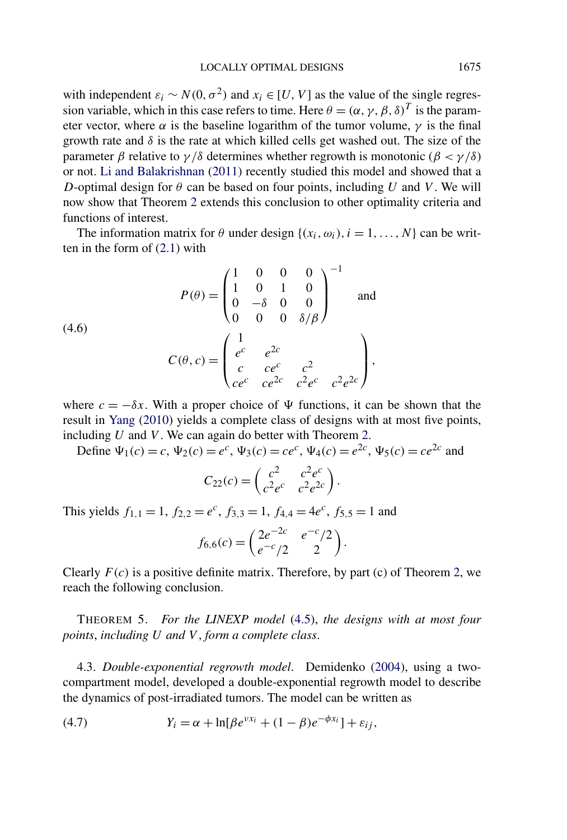<span id="page-10-0"></span>with independent  $\varepsilon_i \sim N(0, \sigma^2)$  and  $x_i \in [U, V]$  as the value of the single regression variable, which in this case refers to time. Here  $\theta = (\alpha, \gamma, \beta, \delta)^T$  is the parameter vector, where  $\alpha$  is the baseline logarithm of the tumor volume,  $\gamma$  is the final growth rate and  $\delta$  is the rate at which killed cells get washed out. The size of the parameter *β* relative to  $\gamma/\delta$  determines whether regrowth is monotonic ( $\beta < \gamma/\delta$ ) or not. [Li and Balakrishnan](#page-16-0) [\(2011\)](#page-16-0) recently studied this model and showed that a *D*-optimal design for  $\theta$  can be based on four points, including *U* and *V*. We will now show that Theorem [2](#page-6-0) extends this conclusion to other optimality criteria and functions of interest.

The information matrix for  $\theta$  under design  $\{(x_i, \omega_i), i = 1, ..., N\}$  can be written in the form of [\(2.1\)](#page-2-0) with

(4.6)  
\n
$$
P(\theta) = \begin{pmatrix} 1 & 0 & 0 & 0 \\ 1 & 0 & 1 & 0 \\ 0 & -\delta & 0 & 0 \\ 0 & 0 & 0 & \delta/\beta \end{pmatrix}^{-1}
$$
 and  
\n
$$
C(\theta, c) = \begin{pmatrix} 1 & e^{c} & e^{2c} \\ e^{c} & e^{2c} & e^{2} \\ ce^{c} & ce^{2c} & c^{2}e^{c} & c^{2}e^{2c} \end{pmatrix},
$$

where  $c = -\delta x$ . With a proper choice of  $\Psi$  functions, it can be shown that the result in [Yang](#page-16-0) [\(2010\)](#page-16-0) yields a complete class of designs with at most five points, including *U* and *V* . We can again do better with Theorem [2.](#page-6-0)

Define  $\Psi_1(c) = c$ ,  $\Psi_2(c) = e^c$ ,  $\Psi_3(c) = ce^c$ ,  $\Psi_4(c) = e^{2c}$ ,  $\Psi_5(c) = ce^{2c}$  and

$$
C_{22}(c) = \begin{pmatrix} c^2 & c^2 e^c \\ c^2 e^c & c^2 e^{2c} \end{pmatrix}.
$$

This yields  $f_{1,1} = 1$ ,  $f_{2,2} = e^c$ ,  $f_{3,3} = 1$ ,  $f_{4,4} = 4e^c$ ,  $f_{5,5} = 1$  and

$$
f_{6,6}(c) = \begin{pmatrix} 2e^{-2c} & e^{-c}/2 \\ e^{-c}/2 & 2 \end{pmatrix}.
$$

Clearly  $F(c)$  is a positive definite matrix. Therefore, by part (c) of Theorem [2,](#page-6-0) we reach the following conclusion.

THEOREM 5. *For the LINEXP model* [\(4.5\)](#page-9-0), *the designs with at most four points*, *including U and V* , *form a complete class*.

4.3. *Double-exponential regrowth model*. Demidenko [\(2004\)](#page-16-0), using a twocompartment model, developed a double-exponential regrowth model to describe the dynamics of post-irradiated tumors. The model can be written as

(4.7) 
$$
Y_i = \alpha + \ln[\beta e^{vx_i} + (1 - \beta)e^{-\phi x_i}] + \varepsilon_{ij},
$$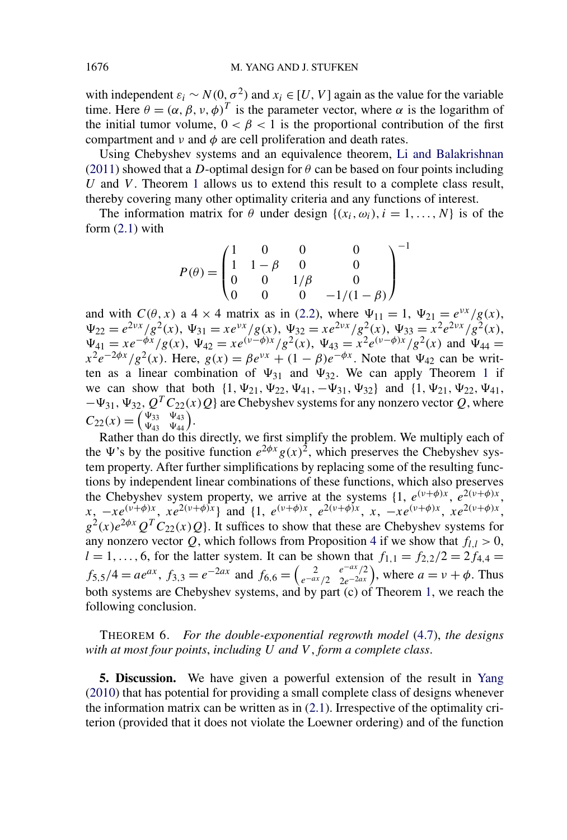with independent  $\varepsilon_i \sim N(0, \sigma^2)$  and  $x_i \in [U, V]$  again as the value for the variable time. Here  $\theta = (\alpha, \beta, \nu, \phi)^T$  is the parameter vector, where  $\alpha$  is the logarithm of the initial tumor volume,  $0 < \beta < 1$  is the proportional contribution of the first compartment and  $\nu$  and  $\phi$  are cell proliferation and death rates.

Using Chebyshev systems and an equivalence theorem, [Li and Balakrishnan](#page-16-0) [\(2011\)](#page-16-0) showed that a *D*-optimal design for  $\theta$  can be based on four points including *U* and *V*. Theorem [1](#page-5-0) allows us to extend this result to a complete class result, thereby covering many other optimality criteria and any functions of interest.

The information matrix for  $\theta$  under design  $\{(x_i, \omega_i), i = 1, ..., N\}$  is of the form  $(2.1)$  with

$$
P(\theta) = \begin{pmatrix} 1 & 0 & 0 & 0 \\ 1 & 1 - \beta & 0 & 0 \\ 0 & 0 & 1/\beta & 0 \\ 0 & 0 & 0 & -1/(1 - \beta) \end{pmatrix}^{-1}
$$

and with  $C(\theta, x)$  a 4 × 4 matrix as in [\(2.2\)](#page-2-0), where  $\Psi_{11} = 1$ ,  $\Psi_{21} = e^{\nu x}/g(x)$ ,  $\Psi_{22} = e^{2\nu x}/g^2(x), \ \Psi_{31} = x e^{\nu x}/g(x), \ \Psi_{32} = x e^{2\nu x}/g^2(x), \ \Psi_{33} = x^2 e^{2\nu x}/g^2(x),$  $\Psi_{41} = xe^{-\phi x}/g(x)$ ,  $\Psi_{42} = xe^{(\nu - \phi)x}/g^2(x)$ ,  $\Psi_{43} = x^2e^{(\nu - \phi)x}/g^2(x)$  and  $\Psi_{44} =$  $x^2e^{-2\phi x}/g^2(x)$ . Here,  $g(x) = \beta e^{vx} + (1 - \beta)e^{-\phi x}$ . Note that  $\Psi_{42}$  can be written as a linear combination of  $\Psi_{31}$  $\Psi_{31}$  $\Psi_{31}$  and  $\Psi_{32}$ . We can apply Theorem 1 if we can show that both  $\{1, \Psi_{21}, \Psi_{22}, \Psi_{41}, -\Psi_{31}, \Psi_{32}\}$  and  $\{1, \Psi_{21}, \Psi_{22}, \Psi_{41},$  $-\Psi_{31}$ ,  $\Psi_{32}$ ,  $Q^T C_{22}(x)Q$ } are Chebyshev systems for any nonzero vector *Q*, where  $C_{22}(x) = \begin{pmatrix} \Psi_{33} \\ \Psi_{43} \end{pmatrix}$  $\Psi_{43}$  $\frac{\Psi_{43}}{\Psi_{44}}$ .

Rather than do this directly, we first simplify the problem. We multiply each of the  $\Psi$ 's by the positive function  $e^{2\phi x}g(x)^2$ , which preserves the Chebyshev system property. After further simplifications by replacing some of the resulting functions by independent linear combinations of these functions, which also preserves the Chebyshev system property, we arrive at the systems  $\{1, e^{(\nu+\phi)x}, e^{2(\nu+\phi)x}\}$  $x, -xe^{(\nu+\phi)x}, xe^{2(\nu+\phi)x}$  and  $\{1, e^{(\nu+\phi)x}, e^{2(\nu+\phi)x}, x, -xe^{(\nu+\phi)x}, xe^{2(\nu+\phi)x}\}$  $g^2(x)e^{2\phi x}Q^T C_{22}(x)Q$ . It suffices to show that these are Chebyshev systems for any nonzero vector Q, which follows from Proposition [4](#page-14-0) if we show that  $f_{l,l} > 0$ ,  $l = 1, ..., 6$ , for the latter system. It can be shown that  $f_{1,1} = f_{2,2}/2 = 2f_{4,4}$  $f_{5,5}/4 = ae^{ax}, f_{3,3} = e^{-2ax}$  and  $f_{6,6} = \begin{pmatrix} 2 \\ e^{-ax}/2 \end{pmatrix}$  $\binom{e^{-ax}/2}{2e^{-2ax}}$ , where  $a = v + \phi$ . Thus both systems are Chebyshev systems, and by part (c) of Theorem [1,](#page-5-0) we reach the following conclusion.

THEOREM 6. *For the double-exponential regrowth model* [\(4.7\)](#page-10-0), *the designs with at most four points*, *including U and V* , *form a complete class*.

**5. Discussion.** We have given a powerful extension of the result in [Yang](#page-16-0) [\(2010\)](#page-16-0) that has potential for providing a small complete class of designs whenever the information matrix can be written as in  $(2.1)$ . Irrespective of the optimality criterion (provided that it does not violate the Loewner ordering) and of the function

<span id="page-11-0"></span>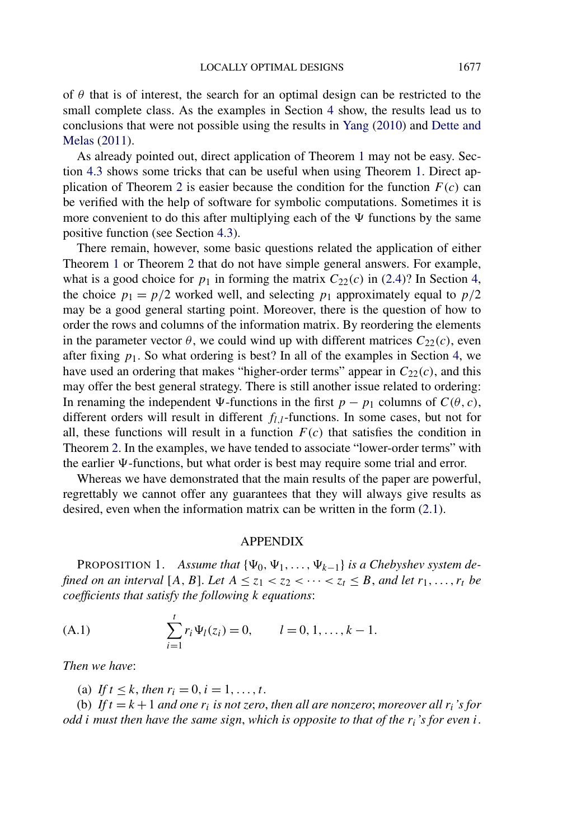<span id="page-12-0"></span>of  $\theta$  that is of interest, the search for an optimal design can be restricted to the small complete class. As the examples in Section [4](#page-7-0) show, the results lead us to conclusions that were not possible using the results in [Yang](#page-16-0) [\(2010\)](#page-16-0) and [Dette and](#page-16-0) [Melas](#page-16-0) [\(2011\)](#page-16-0).

As already pointed out, direct application of Theorem [1](#page-5-0) may not be easy. Section [4.3](#page-10-0) shows some tricks that can be useful when using Theorem [1.](#page-5-0) Direct ap-plication of Theorem [2](#page-6-0) is easier because the condition for the function  $F(c)$  can be verified with the help of software for symbolic computations. Sometimes it is more convenient to do this after multiplying each of the  $\Psi$  functions by the same positive function (see Section [4.3\)](#page-10-0).

There remain, however, some basic questions related the application of either Theorem [1](#page-5-0) or Theorem [2](#page-6-0) that do not have simple general answers. For example, what is a good choice for  $p_1$  in forming the matrix  $C_{22}(c)$  in [\(2.4\)](#page-2-0)? In Section [4,](#page-7-0) the choice  $p_1 = p/2$  worked well, and selecting  $p_1$  approximately equal to  $p/2$ may be a good general starting point. Moreover, there is the question of how to order the rows and columns of the information matrix. By reordering the elements in the parameter vector  $\theta$ , we could wind up with different matrices  $C_{22}(c)$ , even after fixing  $p_1$ . So what ordering is best? In all of the examples in Section [4,](#page-7-0) we have used an ordering that makes "higher-order terms" appear in  $C_{22}(c)$ , and this may offer the best general strategy. There is still another issue related to ordering: In renaming the independent  $\Psi$ -functions in the first *p* − *p*<sub>1</sub> columns of *C*( $\theta$ , *c*), different orders will result in different *fl,l*-functions. In some cases, but not for all, these functions will result in a function  $F(c)$  that satisfies the condition in Theorem [2.](#page-6-0) In the examples, we have tended to associate "lower-order terms" with the earlier  $\Psi$ -functions, but what order is best may require some trial and error.

Whereas we have demonstrated that the main results of the paper are powerful, regrettably we cannot offer any guarantees that they will always give results as desired, even when the information matrix can be written in the form [\(2.1\)](#page-2-0).

#### APPENDIX

PROPOSITION 1. *Assume that*  $\{\Psi_0, \Psi_1, \dots, \Psi_{k-1}\}\$  *is a Chebyshev system defined on an interval*  $[A, B]$ *. Let*  $A \leq z_1 < z_2 < \cdots < z_t \leq B$ *, and let*  $r_1, \ldots, r_t$  *be coefficients that satisfy the following k equations*:

(A.1) 
$$
\sum_{i=1}^{t} r_i \Psi_l(z_i) = 0, \qquad l = 0, 1, ..., k - 1.
$$

*Then we have*:

(a) *If*  $t \leq k$ , *then*  $r_i = 0$ ,  $i = 1, ..., t$ .

(b) If  $t = k + 1$  and one  $r_i$  is not zero, then all are nonzero; moreover all  $r_i$ 's for *odd i must then have the same sign*, *which is opposite to that of the ri's for even i*.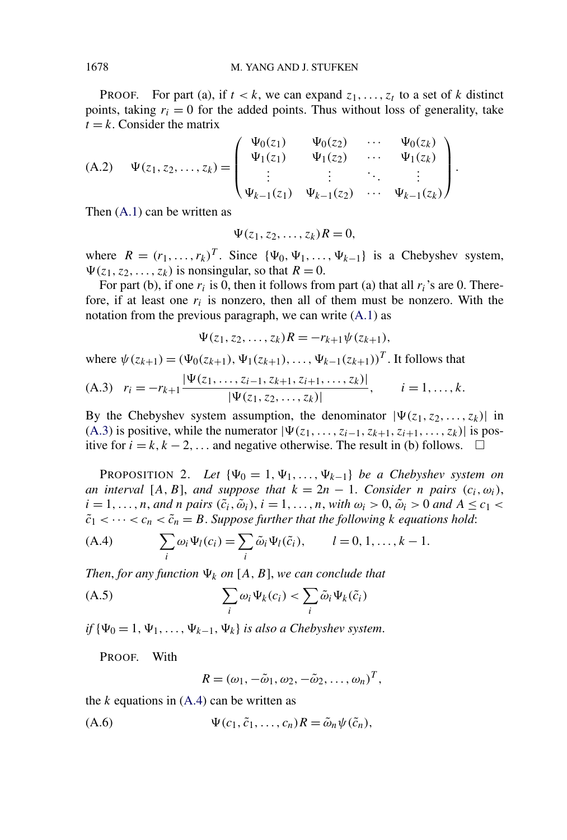<span id="page-13-0"></span>**PROOF.** For part (a), if  $t < k$ , we can expand  $z_1, \ldots, z_t$  to a set of k distinct points, taking  $r_i = 0$  for the added points. Thus without loss of generality, take  $t = k$ . Consider the matrix

(A.2) 
$$
\Psi(z_1, z_2, ..., z_k) = \begin{pmatrix} \Psi_0(z_1) & \Psi_0(z_2) & \cdots & \Psi_0(z_k) \\ \Psi_1(z_1) & \Psi_1(z_2) & \cdots & \Psi_1(z_k) \\ \vdots & \vdots & \ddots & \vdots \\ \Psi_{k-1}(z_1) & \Psi_{k-1}(z_2) & \cdots & \Psi_{k-1}(z_k) \end{pmatrix}.
$$

Then [\(A.1\)](#page-12-0) can be written as

 $\Psi(z_1, z_2, \ldots, z_k)R = 0,$ 

where  $R = (r_1, \ldots, r_k)^T$ . Since  $\{\Psi_0, \Psi_1, \ldots, \Psi_{k-1}\}$  is a Chebyshev system,  $\Psi(z_1, z_2, \ldots, z_k)$  is nonsingular, so that  $R = 0$ .

For part (b), if one  $r_i$  is 0, then it follows from part (a) that all  $r_i$ 's are 0. Therefore, if at least one  $r_i$  is nonzero, then all of them must be nonzero. With the notation from the previous paragraph, we can write [\(A.1\)](#page-12-0) as

$$
\Psi(z_1, z_2, \ldots, z_k)R = -r_{k+1}\psi(z_{k+1}),
$$

where 
$$
\psi(z_{k+1}) = (\Psi_0(z_{k+1}), \Psi_1(z_{k+1}), \dots, \Psi_{k-1}(z_{k+1}))^T
$$
. It follows that  
\n(A.3)  $r_i = -r_{k+1} \frac{|\Psi(z_1, \dots, z_{i-1}, z_{k+1}, z_{i+1}, \dots, z_k)|}{|\Psi(z_1, z_2, \dots, z_k)|}, \qquad i = 1, \dots, k.$ 

By the Chebyshev system assumption, the denominator  $|\Psi(z_1, z_2, \dots, z_k)|$  in (A.3) is positive, while the numerator  $|\Psi(z_1, \ldots, z_{i-1}, z_{k+1}, z_{i+1}, \ldots, z_k)|$  is positive for  $i = k, k - 2, \ldots$  and negative otherwise. The result in (b) follows.  $\Box$ 

PROPOSITION 2. *Let*  $\{\Psi_0 = 1, \Psi_1, \ldots, \Psi_{k-1}\}$  *be a Chebyshev system on an interval* [*A, B*], *and suppose that*  $k = 2n - 1$ . *Consider n pairs*  $(c_i, \omega_i)$ ,  $i = 1, ..., n$ , *and n pairs*  $(\tilde{c}_i, \tilde{\omega}_i)$ ,  $i = 1, ..., n$ , *with*  $\omega_i > 0$ ,  $\tilde{\omega}_i > 0$  *and*  $A \le c_1 <$  $\tilde{c}_1 < \cdots < c_n < \tilde{c}_n = B$ . Suppose further that the following *k* equations hold:

(A.4) 
$$
\sum_i \omega_i \Psi_l(c_i) = \sum_i \tilde{\omega}_i \Psi_l(\tilde{c}_i), \qquad l = 0, 1, \dots, k-1.
$$

*Then, for any function*  $\Psi_k$  *on* [A, B], we can conclude that

(A.5) 
$$
\sum_{i} \omega_i \Psi_k(c_i) < \sum_{i} \tilde{\omega}_i \Psi_k(\tilde{c}_i)
$$

*if*  $\{\Psi_0 = 1, \Psi_1, \ldots, \Psi_{k-1}, \Psi_k\}$  *is also a Chebyshev system.* 

PROOF. With

$$
R=(\omega_1,-\tilde{\omega}_1,\omega_2,-\tilde{\omega}_2,\ldots,\omega_n)^T,
$$

the *k* equations in (A.4) can be written as

$$
(A.6) \t\t \Psi(c_1, \tilde{c}_1, \ldots, c_n)R = \tilde{\omega}_n \psi(\tilde{c}_n),
$$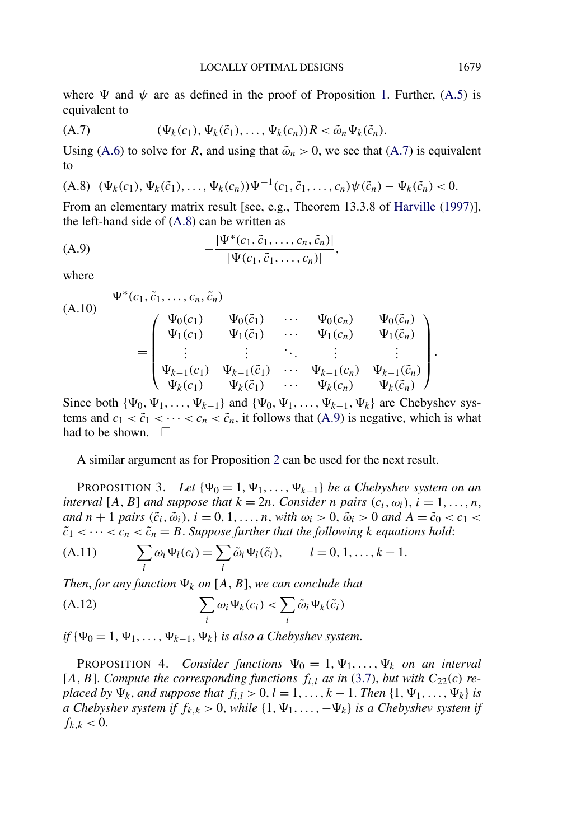<span id="page-14-0"></span>where  $\Psi$  and  $\psi$  are as defined in the proof of Proposition [1.](#page-12-0) Further, [\(A.5\)](#page-13-0) is equivalent to

$$
(A.7) \qquad (\Psi_k(c_1), \Psi_k(\tilde{c}_1), \ldots, \Psi_k(c_n))R < \tilde{\omega}_n \Psi_k(\tilde{c}_n).
$$

Using [\(A.6\)](#page-13-0) to solve for *R*, and using that  $\tilde{\omega}_n > 0$ , we see that (A.7) is equivalent to

$$
(A.8) \ (\Psi_k(c_1), \Psi_k(\tilde{c}_1), \ldots, \Psi_k(c_n))\Psi^{-1}(c_1, \tilde{c}_1, \ldots, c_n)\psi(\tilde{c}_n) - \Psi_k(\tilde{c}_n) < 0.
$$

From an elementary matrix result [see, e.g., Theorem 13.3.8 of [Harville](#page-16-0) [\(1997\)](#page-16-0)], the left-hand side of (A.8) can be written as

(A.9) 
$$
-\frac{|\Psi^*(c_1, \tilde{c}_1, ..., c_n, \tilde{c}_n)|}{|\Psi(c_1, \tilde{c}_1, ..., c_n)|},
$$

where

(A.10)  
\n
$$
\Psi^*(c_1, \tilde{c}_1, ..., c_n, \tilde{c}_n)
$$
\n
$$
= \begin{pmatrix}\n\Psi_0(c_1) & \Psi_0(\tilde{c}_1) & \cdots & \Psi_0(c_n) & \Psi_0(\tilde{c}_n) \\
\Psi_1(c_1) & \Psi_1(\tilde{c}_1) & \cdots & \Psi_1(c_n) & \Psi_1(\tilde{c}_n) \\
\vdots & \vdots & \ddots & \vdots & \vdots \\
\Psi_{k-1}(c_1) & \Psi_{k-1}(\tilde{c}_1) & \cdots & \Psi_{k-1}(c_n) & \Psi_{k-1}(\tilde{c}_n) \\
\Psi_k(c_1) & \Psi_k(\tilde{c}_1) & \cdots & \Psi_k(c_n) & \Psi_k(\tilde{c}_n)\n\end{pmatrix}.
$$

Since both  $\{\Psi_0, \Psi_1, \dots, \Psi_{k-1}\}\$  and  $\{\Psi_0, \Psi_1, \dots, \Psi_{k-1}, \Psi_k\}$  are Chebyshev systems and  $c_1 < \tilde{c}_1 < \cdots < c_n < \tilde{c}_n$ , it follows that (A.9) is negative, which is what had to be shown.  $\Box$ 

A similar argument as for Proposition [2](#page-13-0) can be used for the next result.

PROPOSITION 3. Let  $\{\Psi_0 = 1, \Psi_1, \ldots, \Psi_{k-1}\}$  *be a Chebyshev system on an interval* [*A, B*] *and suppose that*  $k = 2n$ *. Consider n pairs*  $(c_i, \omega_i)$ *,*  $i = 1, \ldots, n$ *, and*  $n + 1$  *pairs*  $(\tilde{c}_i, \tilde{\omega}_i)$ ,  $i = 0, 1, ..., n$ , *with*  $\omega_i > 0$ ,  $\tilde{\omega}_i > 0$  *and*  $A = \tilde{c}_0 < c_1 <$  $\tilde{c}_1 < \cdots < c_n < \tilde{c}_n = B$ . Suppose further that the following *k* equations hold:

(A.11) 
$$
\sum_i \omega_i \Psi_l(c_i) = \sum_i \tilde{\omega}_i \Psi_l(\tilde{c}_i), \qquad l = 0, 1, \dots, k-1.
$$

*Then, for any function*  $\Psi_k$  *on* [A, B], we can conclude that

(A.12) 
$$
\sum_{i} \omega_i \Psi_k(c_i) < \sum_{i} \tilde{\omega}_i \Psi_k(\tilde{c}_i)
$$

*if*  $\{\Psi_0 = 1, \Psi_1, \ldots, \Psi_{k-1}, \Psi_k\}$  *is also a Chebyshev system.* 

**PROPOSITION** 4. *Consider functions*  $\Psi_0 = 1, \Psi_1, \dots, \Psi_k$  *on an interval* [A, B]. Compute the corresponding functions  $f_{l,l}$  as in [\(3.7\)](#page-6-0), but with  $C_{22}(c)$  re*placed by*  $\Psi_k$ *, and suppose that*  $f_{l,l} > 0$ ,  $l = 1, ..., k - 1$ *. Then*  $\{1, \Psi_1, ..., \Psi_k\}$  *is a* Chebyshev system if  $f_{k,k}$  > 0, while  $\{1, \Psi_1, ..., -\Psi_k\}$  is a Chebyshev system if  $f_{k,k}$  < 0.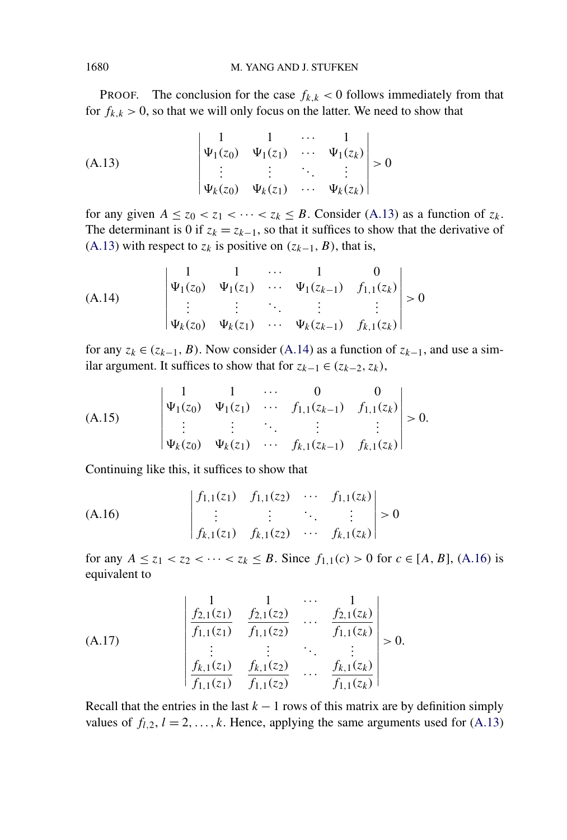**PROOF.** The conclusion for the case  $f_{k,k}$  < 0 follows immediately from that for  $f_{k,k} > 0$ , so that we will only focus on the latter. We need to show that

(A.13)
$$
\begin{vmatrix} 1 & 1 & \cdots & 1 \\ \Psi_1(z_0) & \Psi_1(z_1) & \cdots & \Psi_1(z_k) \\ \vdots & \vdots & \ddots & \vdots \\ \Psi_k(z_0) & \Psi_k(z_1) & \cdots & \Psi_k(z_k) \end{vmatrix} > 0
$$

for any given  $A \le z_0 < z_1 < \cdots < z_k \le B$ . Consider (A.13) as a function of  $z_k$ . The determinant is 0 if  $z_k = z_{k-1}$ , so that it suffices to show that the derivative of (A.13) with respect to  $z_k$  is positive on  $(z_{k-1}, B)$ , that is,

(A.14)  

$$
\begin{vmatrix} 1 & 1 & \cdots & 1 & 0 \\ \Psi_1(z_0) & \Psi_1(z_1) & \cdots & \Psi_1(z_{k-1}) & f_{1,1}(z_k) \\ \vdots & \vdots & \ddots & \vdots & \vdots \\ \Psi_k(z_0) & \Psi_k(z_1) & \cdots & \Psi_k(z_{k-1}) & f_{k,1}(z_k) \end{vmatrix} > 0
$$

for any  $z_k \in (z_{k-1}, B)$ . Now consider (A.14) as a function of  $z_{k-1}$ , and use a similar argument. It suffices to show that for  $z_{k-1} \in (z_{k-2}, z_k)$ ,

(A.15)
$$
\begin{vmatrix} 1 & 1 & \cdots & 0 & 0 \\ \Psi_1(z_0) & \Psi_1(z_1) & \cdots & f_{1,1}(z_{k-1}) & f_{1,1}(z_k) \\ \vdots & \vdots & \ddots & \vdots & \vdots \\ \Psi_k(z_0) & \Psi_k(z_1) & \cdots & f_{k,1}(z_{k-1}) & f_{k,1}(z_k) \end{vmatrix} > 0.
$$

Continuing like this, it suffices to show that

(A.16)  

$$
\begin{vmatrix} f_{1,1}(z_1) & f_{1,1}(z_2) & \cdots & f_{1,1}(z_k) \\ \vdots & \vdots & \ddots & \vdots \\ f_{k,1}(z_1) & f_{k,1}(z_2) & \cdots & f_{k,1}(z_k) \end{vmatrix} > 0
$$

for any  $A \le z_1 < z_2 < \cdots < z_k \le B$ . Since  $f_{1,1}(c) > 0$  for  $c \in [A, B]$ , (A.16) is equivalent to

(A.17)  

$$
\begin{vmatrix}\n1 & 1 & \cdots & 1 \\
f_{2,1}(z_1) & f_{2,1}(z_2) & \cdots & f_{2,1}(z_k) \\
\hline f_{1,1}(z_1) & f_{1,1}(z_2) & \cdots & f_{1,1}(z_k) \\
\vdots & \vdots & \ddots & \vdots \\
f_{k,1}(z_1) & f_{k,1}(z_2) & \cdots & f_{k,1}(z_k) \\
\hline f_{1,1}(z_1) & f_{1,1}(z_2) & \cdots & f_{1,1}(z_k)\n\end{vmatrix} > 0.
$$

Recall that the entries in the last  $k - 1$  rows of this matrix are by definition simply values of  $f_{l,2}$ ,  $l = 2, ..., k$ . Hence, applying the same arguments used for (A.13)

<span id="page-15-0"></span>